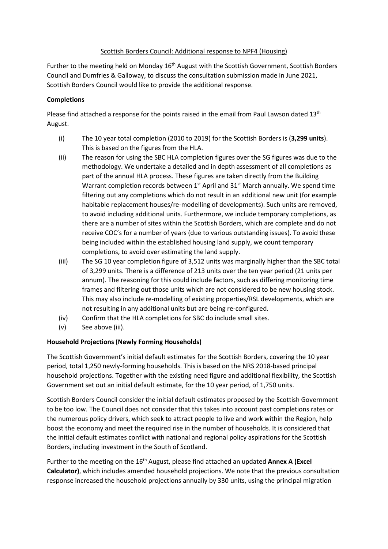### Scottish Borders Council: Additional response to NPF4 (Housing)

Further to the meeting held on Monday 16<sup>th</sup> August with the Scottish Government, Scottish Borders Council and Dumfries & Galloway, to discuss the consultation submission made in June 2021, Scottish Borders Council would like to provide the additional response.

# **Completions**

Please find attached a response for the points raised in the email from Paul Lawson dated 13<sup>th</sup> August.

- (i) The 10 year total completion (2010 to 2019) for the Scottish Borders is (**3,299 units**). This is based on the figures from the HLA.
- (ii) The reason for using the SBC HLA completion figures over the SG figures was due to the methodology. We undertake a detailed and in depth assessment of all completions as part of the annual HLA process. These figures are taken directly from the Building Warrant completion records between 1<sup>st</sup> April and 31<sup>st</sup> March annually. We spend time filtering out any completions which do not result in an additional new unit (for example habitable replacement houses/re-modelling of developments). Such units are removed, to avoid including additional units. Furthermore, we include temporary completions, as there are a number of sites within the Scottish Borders, which are complete and do not receive COC's for a number of years (due to various outstanding issues). To avoid these being included within the established housing land supply, we count temporary completions, to avoid over estimating the land supply.
- (iii) The SG 10 year completion figure of 3,512 units was marginally higher than the SBC total of 3,299 units. There is a difference of 213 units over the ten year period (21 units per annum). The reasoning for this could include factors, such as differing monitoring time frames and filtering out those units which are not considered to be new housing stock. This may also include re-modelling of existing properties/RSL developments, which are not resulting in any additional units but are being re-configured.
- (iv) Confirm that the HLA completions for SBC do include small sites.
- (v) See above (iii).

# **Household Projections (Newly Forming Households)**

The Scottish Government's initial default estimates for the Scottish Borders, covering the 10 year period, total 1,250 newly-forming households. This is based on the NRS 2018-based principal household projections. Together with the existing need figure and additional flexibility, the Scottish Government set out an initial default estimate, for the 10 year period, of 1,750 units.

Scottish Borders Council consider the initial default estimates proposed by the Scottish Government to be too low. The Council does not consider that this takes into account past completions rates or the numerous policy drivers, which seek to attract people to live and work within the Region, help boost the economy and meet the required rise in the number of households. It is considered that the initial default estimates conflict with national and regional policy aspirations for the Scottish Borders, including investment in the South of Scotland.

Further to the meeting on the 16<sup>th</sup> August, please find attached an updated **Annex A (Excel Calculator)**, which includes amended household projections. We note that the previous consultation response increased the household projections annually by 330 units, using the principal migration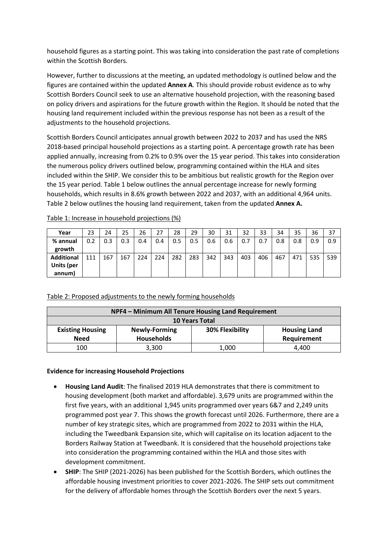household figures as a starting point. This was taking into consideration the past rate of completions within the Scottish Borders.

However, further to discussions at the meeting, an updated methodology is outlined below and the figures are contained within the updated **Annex A**. This should provide robust evidence as to why Scottish Borders Council seek to use an alternative household projection, with the reasoning based on policy drivers and aspirations for the future growth within the Region. It should be noted that the housing land requirement included within the previous response has not been as a result of the adjustments to the household projections.

Scottish Borders Council anticipates annual growth between 2022 to 2037 and has used the NRS 2018-based principal household projections as a starting point. A percentage growth rate has been applied annually, increasing from 0.2% to 0.9% over the 15 year period. This takes into consideration the numerous policy drivers outlined below, programming contained within the HLA and sites included within the SHIP. We consider this to be ambitious but realistic growth for the Region over the 15 year period. Table 1 below outlines the annual percentage increase for newly forming households, which results in 8.6% growth between 2022 and 2037, with an additional 4,964 units. Table 2 below outlines the housing land requirement, taken from the updated **Annex A.**

| Year              | 23  | 24  | 25  | 26  | 27  | 28  | 29  | 30  | 31  | 32  | 33  | 34  | 35  | 36  | 37  |
|-------------------|-----|-----|-----|-----|-----|-----|-----|-----|-----|-----|-----|-----|-----|-----|-----|
| % annual          | 0.2 | 0.3 | 0.3 | 0.4 | 0.4 | 0.5 | 0.5 | 0.6 | 0.6 | 0.7 | 0.7 | 0.8 | 0.8 | 0.9 | 0.9 |
| growth            |     |     |     |     |     |     |     |     |     |     |     |     |     |     |     |
| <b>Additional</b> | 111 | 167 | 167 | 224 | 224 | 282 | 283 | 342 | 343 | 403 | 406 | 467 | 471 | 535 | 539 |
| Units (per        |     |     |     |     |     |     |     |     |     |     |     |     |     |     |     |
| annum)            |     |     |     |     |     |     |     |     |     |     |     |     |     |     |     |

Table 1: Increase in household projections (%)

# Table 2: Proposed adjustments to the newly forming households

| NPF4 - Minimum All Tenure Housing Land Requirement |                      |                 |                     |  |  |  |  |  |
|----------------------------------------------------|----------------------|-----------------|---------------------|--|--|--|--|--|
| <b>10 Years Total</b>                              |                      |                 |                     |  |  |  |  |  |
| <b>Existing Housing</b>                            | <b>Newly-Forming</b> | 30% Flexibility | <b>Housing Land</b> |  |  |  |  |  |
| <b>Need</b>                                        | <b>Households</b>    |                 | Requirement         |  |  |  |  |  |
| 100                                                | 3,300                | 1,000           | 4.400               |  |  |  |  |  |

#### **Evidence for increasing Household Projections**

- **Housing Land Audit**: The finalised 2019 HLA demonstrates that there is commitment to housing development (both market and affordable). 3,679 units are programmed within the first five years, with an additional 1,945 units programmed over years 6&7 and 2,249 units programmed post year 7. This shows the growth forecast until 2026. Furthermore, there are a number of key strategic sites, which are programmed from 2022 to 2031 within the HLA, including the Tweedbank Expansion site, which will capitalise on its location adjacent to the Borders Railway Station at Tweedbank. It is considered that the household projections take into consideration the programming contained within the HLA and those sites with development commitment.
- **SHIP**: The SHIP (2021-2026) has been published for the Scottish Borders, which outlines the affordable housing investment priorities to cover 2021-2026. The SHIP sets out commitment for the delivery of affordable homes through the Scottish Borders over the next 5 years.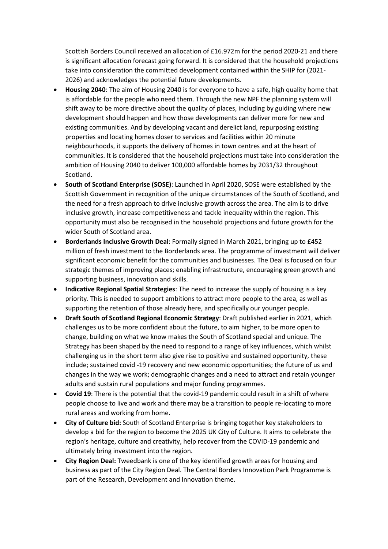Scottish Borders Council received an allocation of £16.972m for the period 2020-21 and there is significant allocation forecast going forward. It is considered that the household projections take into consideration the committed development contained within the SHIP for (2021- 2026) and acknowledges the potential future developments.

- **Housing 2040**: The aim of Housing 2040 is for everyone to have a safe, high quality home that is affordable for the people who need them. Through the new NPF the planning system will shift away to be more directive about the quality of places, including by guiding where new development should happen and how those developments can deliver more for new and existing communities. And by developing vacant and derelict land, repurposing existing properties and locating homes closer to services and facilities within 20 minute neighbourhoods, it supports the delivery of homes in town centres and at the heart of communities. It is considered that the household projections must take into consideration the ambition of Housing 2040 to deliver 100,000 affordable homes by 2031/32 throughout Scotland.
- **South of Scotland Enterprise (SOSE)**: Launched in April 2020, SOSE were established by the Scottish Government in recognition of the unique circumstances of the South of Scotland, and the need for a fresh approach to drive inclusive growth across the area. The aim is to drive inclusive growth, increase competitiveness and tackle inequality within the region. This opportunity must also be recognised in the household projections and future growth for the wider South of Scotland area.
- **Borderlands Inclusive Growth Deal**: Formally signed in March 2021, bringing up to £452 million of fresh investment to the Borderlands area. The programme of investment will deliver significant economic benefit for the communities and businesses. The Deal is focused on four strategic themes of improving places; enabling infrastructure, encouraging green growth and supporting business, innovation and skills.
- **Indicative Regional Spatial Strategies**: The need to increase the supply of housing is a key priority. This is needed to support ambitions to attract more people to the area, as well as supporting the retention of those already here, and specifically our younger people.
- **Draft South of Scotland Regional Economic Strategy**: Draft published earlier in 2021, which challenges us to be more confident about the future, to aim higher, to be more open to change, building on what we know makes the South of Scotland special and unique. The Strategy has been shaped by the need to respond to a range of key influences, which whilst challenging us in the short term also give rise to positive and sustained opportunity, these include; sustained covid -19 recovery and new economic opportunities; the future of us and changes in the way we work; demographic changes and a need to attract and retain younger adults and sustain rural populations and major funding programmes.
- **Covid 19**: There is the potential that the covid-19 pandemic could result in a shift of where people choose to live and work and there may be a transition to people re-locating to more rural areas and working from home.
- **City of Culture bid:** South of Scotland Enterprise is bringing together key stakeholders to develop a bid for the region to become the 2025 UK City of Culture. It aims to celebrate the region's heritage, culture and creativity, help recover from the COVID-19 pandemic and ultimately bring investment into the region.
- **City Region Deal:** Tweedbank is one of the key identified growth areas for housing and business as part of the City Region Deal. The Central Borders Innovation Park Programme is part of the Research, Development and Innovation theme.